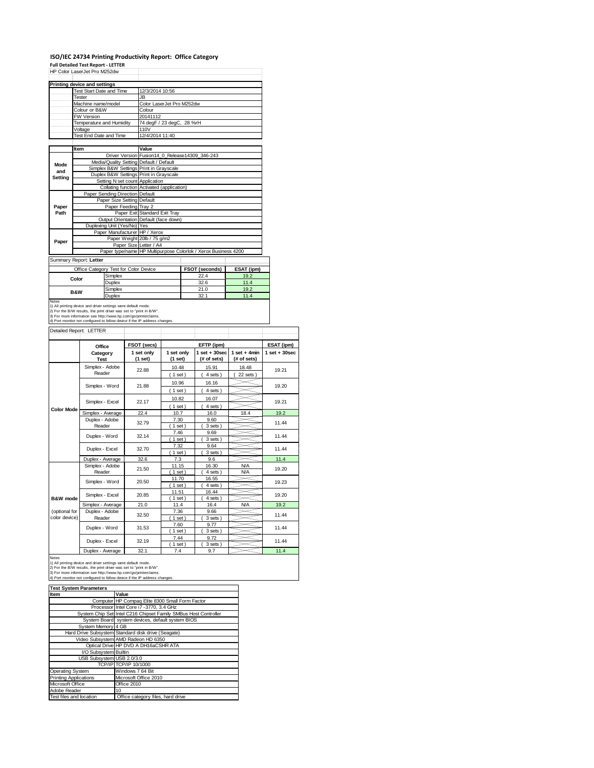## **ISO/IEC 24734 Printing Productivity Report: Office Category**

**Full Detailed Test Report ‐ LETTER** HP Color LaserJet Pro M252dw

|         | <u>FIF CONTLASEIJELFIU IVIZIZUW</u>    |                                       |                                                |                                                                |            |  |  |
|---------|----------------------------------------|---------------------------------------|------------------------------------------------|----------------------------------------------------------------|------------|--|--|
|         | <b>Printing device and settings</b>    |                                       |                                                |                                                                |            |  |  |
|         | <b>Test Start Date and Time</b>        |                                       | 12/3/2014 10:56                                |                                                                |            |  |  |
|         | Tester                                 |                                       | JB.                                            |                                                                |            |  |  |
|         | Machine name/model                     |                                       | Color LaserJet Pro M252dw                      |                                                                |            |  |  |
|         | Colour or B&W                          |                                       | Colour                                         |                                                                |            |  |  |
|         | <b>FW Version</b>                      |                                       | 20141112                                       |                                                                |            |  |  |
|         | Temperature and Humidity               |                                       | 74 degF / 23 degC, 28 %rH                      |                                                                |            |  |  |
|         | Voltage                                |                                       | 110V                                           |                                                                |            |  |  |
|         | Test End Date and Time                 |                                       | 12/4/2014 11:40                                |                                                                |            |  |  |
|         |                                        |                                       |                                                |                                                                |            |  |  |
|         | Item                                   |                                       | Value                                          |                                                                |            |  |  |
|         |                                        |                                       | Driver Version Fusion14_0_Release14309_346-243 |                                                                |            |  |  |
| Mode    |                                        |                                       | Media/Quality Setting Default / Default        |                                                                |            |  |  |
| and     |                                        |                                       | Simplex B&W Settings Print in Grayscale        |                                                                |            |  |  |
| Setting |                                        |                                       | Duplex B&W Settings Print in Grayscale         |                                                                |            |  |  |
|         | Setting N set count Application        |                                       |                                                |                                                                |            |  |  |
|         |                                        |                                       | Collating function Activated (application)     |                                                                |            |  |  |
|         | Paper Sending Direction Default        |                                       |                                                |                                                                |            |  |  |
|         | Paper Size Setting Default             |                                       |                                                |                                                                |            |  |  |
| Paper   |                                        | Paper Feeding Tray 2                  |                                                |                                                                |            |  |  |
| Path    |                                        |                                       | Paper Exit Standard Exit Tray                  |                                                                |            |  |  |
|         | Output Orientation Default (face down) |                                       |                                                |                                                                |            |  |  |
|         | Duplexing Unit (Yes/No) Yes            |                                       |                                                |                                                                |            |  |  |
|         |                                        | Paper Manufacturer HP / Xerox         |                                                |                                                                |            |  |  |
| Paper   |                                        |                                       | Paper Weight 20lb / 75 g/m2                    |                                                                |            |  |  |
|         |                                        |                                       | Paper Size Letter / A4                         |                                                                |            |  |  |
|         |                                        |                                       |                                                | Paper type/name HP Multipurpose Colorlok / Xerox Business 4200 |            |  |  |
|         | Summary Report: Letter                 |                                       |                                                |                                                                |            |  |  |
|         |                                        | Office Category Test for Color Device |                                                | FSOT (seconds)                                                 | ESAT (ipm) |  |  |
|         | Color                                  | Simplex                               |                                                | 22.4                                                           | 19.2       |  |  |
|         |                                        | Duplex                                |                                                | 32.6                                                           | 11.4       |  |  |
|         | <b>B&amp;W</b>                         | Simplex                               |                                                | 21.0                                                           | 19.2       |  |  |
|         |                                        | Duplex                                |                                                | 32.1                                                           | 11.4       |  |  |

Notes<br>1) All printing device and driver settings were default mode.<br>2) For the B/W results, the print driver was set to "print in B/W".<br>3) For more information see http://www.hp.com/go/printerclaims.<br>4) Port monitor not co

### Detailed Report: LETTER

|                   | Office                    | FSOT (secs)             |                         | EFTP (ipm)                       |                               | ESAT (ipm)       |  |
|-------------------|---------------------------|-------------------------|-------------------------|----------------------------------|-------------------------------|------------------|--|
|                   | Category<br><b>Test</b>   | 1 set only<br>$(1$ set) | 1 set only<br>$(1$ set) | $1$ set $+30$ sec<br>(# of sets) | $1$ set + 4min<br>(# of sets) | $1 set + 30 sec$ |  |
|                   | Simplex - Adobe           | 22.88                   | 10.48                   | 15.91                            | 18.48                         | 19.21            |  |
| <b>Color Mode</b> | Reader                    |                         | (1 set)                 | 4 sets                           | 22 sets                       |                  |  |
|                   | Simplex - Word            | 21.88                   | 10.96                   | 16.16                            |                               | 19.20            |  |
|                   |                           |                         | (1 set)                 | 4 sets)                          |                               |                  |  |
|                   | Simplex - Excel           | 22.17                   | 10.82                   | 16.07                            |                               | 19.21            |  |
|                   |                           |                         | $1$ set)                | 4 sets)                          |                               |                  |  |
|                   | Simplex - Average         | 22.4                    | 10.7                    | 16.0                             | 18.4                          | 19.2             |  |
|                   | Duplex - Adobe            | 32.79                   | 7.30                    | 9.60                             |                               | 11.44            |  |
|                   | Reader                    |                         | $1$ set)                | 3 sets)                          |                               |                  |  |
|                   | Duplex - Word             | 32.14                   | 7.46                    | 9.69                             |                               | 11.44            |  |
|                   |                           |                         | $1$ set)                | 3 sets)                          |                               |                  |  |
|                   | Duplex - Excel            | 32.70                   | 7.32                    | 9.64                             |                               | 11.44            |  |
|                   | Duplex - Average          | 32.6                    | $1$ set)<br>7.3         | 3 sets<br>9.6                    |                               | 11.4             |  |
|                   |                           |                         | 11.15                   | 16.30                            | <b>N/A</b>                    |                  |  |
|                   | Simplex - Adobe<br>Reader | 21.50                   | $1$ set)                | 4 sets)                          | <b>N/A</b>                    | 19.20            |  |
|                   |                           | 20.50                   | 11.70                   | 16.55                            |                               | 19.23            |  |
|                   | Simplex - Word            |                         | $1$ set)                | 4 sets)                          |                               |                  |  |
|                   | Simplex - Excel           | 20.85                   | 11.51                   | 16.44                            |                               | 19.20            |  |
| B&W mode          |                           |                         | $1$ set)                | 4 sets)                          |                               |                  |  |
|                   | Simplex - Average         | 21.0                    | 11.4                    | 16.4                             | <b>N/A</b>                    | 19.2             |  |
| (optional for     | Duplex - Adobe            | 32.50                   | 7.36                    | 9.66                             |                               | 11.44            |  |
| color device)     | Reader                    |                         | (1 set)                 | 3 sets)                          |                               |                  |  |
|                   | Duplex - Word             | 31.53                   | 7.60                    | 9.77                             |                               | 11.44            |  |
|                   |                           |                         | $1$ set)                | 3 sets)                          |                               |                  |  |
|                   | Duplex - Excel            | 32.19                   | 7.44                    | 9.72                             |                               | 11.44            |  |
|                   |                           | 22.4                    | $1$ set)<br>7.4         | 3 sets)<br>$\sim$ $\sim$         |                               | AA               |  |
|                   | Dumber Armonian           |                         |                         |                                  |                               |                  |  |

Duplex - Average 32.1 7.4 9.7 11.4<br>
11.4<br>
1) All printing device and driver settings were default mode.<br>
2) For the B/W results, the print driver was set to "print in B/W".<br>
3) For more information see http://www.hp.com/g

| <b>Test System Parameters</b> |                                                                 |  |  |  |  |  |
|-------------------------------|-----------------------------------------------------------------|--|--|--|--|--|
| Item                          | Value                                                           |  |  |  |  |  |
|                               | Computer HP Compaq Elite 8300 Small Form Factor                 |  |  |  |  |  |
|                               | Processor Intel Core i7 -3770, 3.4 GHz                          |  |  |  |  |  |
|                               | System Chip Set Intel C216 Chipset Family SMBus Host Controller |  |  |  |  |  |
|                               | System Board system devices, default system BIOS                |  |  |  |  |  |
| System Memory 4 GB            |                                                                 |  |  |  |  |  |
|                               | Hard Drive Subsystem Standard disk drive (Seagate)              |  |  |  |  |  |
|                               | Video Subsystem AMD Radeon HD 6350                              |  |  |  |  |  |
|                               | Optical Drive HP DVD A DH16aCSHR ATA                            |  |  |  |  |  |
| I/O Subsystem Builtin         |                                                                 |  |  |  |  |  |
| USB Subsystem USB 2.0/3.0     |                                                                 |  |  |  |  |  |
|                               | TCP/IP TCP/IP 10/1000                                           |  |  |  |  |  |
| Operating System              | Windows 7 64 Bit                                                |  |  |  |  |  |
| <b>Printing Applications</b>  | Microsoft Office 2010                                           |  |  |  |  |  |
| Microsoft Office              | Office 2010                                                     |  |  |  |  |  |
| Adobe Reader                  | 10                                                              |  |  |  |  |  |
| Test files and location       | Office category files, hard drive                               |  |  |  |  |  |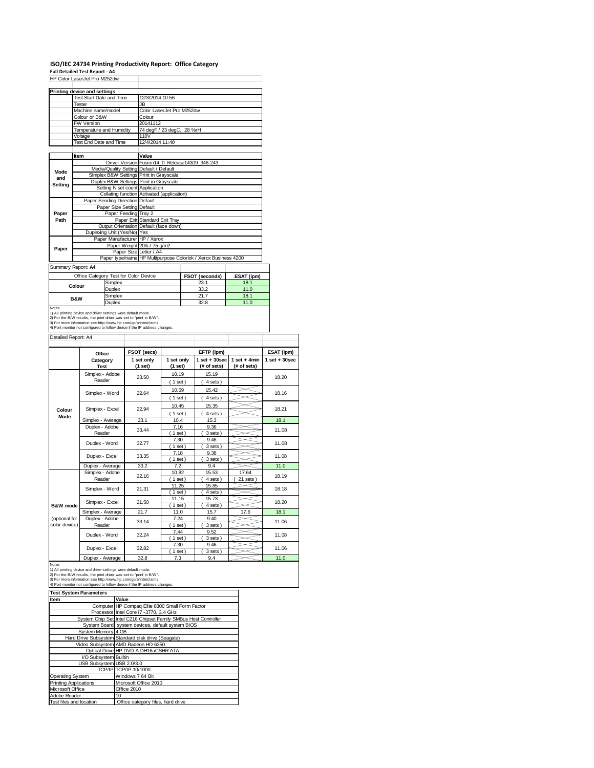# **ISO/IEC 24734 Printing Productivity Report: Office Category Full Detailed Test Report ‐ A4**

|                     | HP Color LaserJet Pro M252dw                                                                                                                                                                                                                                                          |                                                               |  |                                                                                    |                              |  |                                                                |                 |                                 |  |
|---------------------|---------------------------------------------------------------------------------------------------------------------------------------------------------------------------------------------------------------------------------------------------------------------------------------|---------------------------------------------------------------|--|------------------------------------------------------------------------------------|------------------------------|--|----------------------------------------------------------------|-----------------|---------------------------------|--|
|                     | <b>Printing device and settings</b>                                                                                                                                                                                                                                                   |                                                               |  |                                                                                    |                              |  |                                                                |                 |                                 |  |
|                     | <b>Test Start Date and Time</b>                                                                                                                                                                                                                                                       |                                                               |  | 12/3/2014 10:56                                                                    |                              |  |                                                                |                 |                                 |  |
|                     | <b>Tester</b>                                                                                                                                                                                                                                                                         |                                                               |  | JB                                                                                 |                              |  |                                                                |                 |                                 |  |
|                     | Machine name/model<br>Colour or B&W                                                                                                                                                                                                                                                   |                                                               |  | Color LaserJet Pro M252dw<br>Colour                                                |                              |  |                                                                |                 |                                 |  |
|                     | FW Version                                                                                                                                                                                                                                                                            |                                                               |  | 20141112                                                                           |                              |  |                                                                |                 |                                 |  |
|                     | Temperature and Humidity                                                                                                                                                                                                                                                              |                                                               |  |                                                                                    | 74 degF / 23 degC,<br>28 %rH |  |                                                                |                 |                                 |  |
|                     | Voltage<br>Test End Date and Time                                                                                                                                                                                                                                                     |                                                               |  | 110V<br>12/4/2014 11:40                                                            |                              |  |                                                                |                 |                                 |  |
|                     |                                                                                                                                                                                                                                                                                       |                                                               |  |                                                                                    |                              |  |                                                                |                 |                                 |  |
|                     | <b>Item</b>                                                                                                                                                                                                                                                                           |                                                               |  | Value                                                                              |                              |  |                                                                |                 |                                 |  |
|                     |                                                                                                                                                                                                                                                                                       |                                                               |  |                                                                                    |                              |  | Driver Version Fusion14_0_Release14309_346-243                 |                 |                                 |  |
| Mode                |                                                                                                                                                                                                                                                                                       |                                                               |  | Media/Quality Setting Default / Default<br>Simplex B&W Settings Print in Grayscale |                              |  |                                                                |                 |                                 |  |
| and                 |                                                                                                                                                                                                                                                                                       |                                                               |  | Duplex B&W Settings Print in Grayscale                                             |                              |  |                                                                |                 |                                 |  |
| <b>Setting</b>      |                                                                                                                                                                                                                                                                                       |                                                               |  | Setting N set count Application                                                    |                              |  |                                                                |                 |                                 |  |
|                     |                                                                                                                                                                                                                                                                                       |                                                               |  | Collating function Activated (application)                                         |                              |  |                                                                |                 |                                 |  |
|                     |                                                                                                                                                                                                                                                                                       | Paper Sending Direction Default<br>Paper Size Setting Default |  |                                                                                    |                              |  |                                                                |                 |                                 |  |
| Paper               |                                                                                                                                                                                                                                                                                       | Paper Feeding Tray 2                                          |  |                                                                                    |                              |  |                                                                |                 |                                 |  |
| Path                |                                                                                                                                                                                                                                                                                       |                                                               |  | Paper Exit Standard Exit Tray                                                      |                              |  |                                                                |                 |                                 |  |
|                     |                                                                                                                                                                                                                                                                                       | Duplexing Unit (Yes/No) Yes                                   |  | Output Orientation Default (face down)                                             |                              |  |                                                                |                 |                                 |  |
|                     |                                                                                                                                                                                                                                                                                       |                                                               |  | Paper Manufacturer HP / Xerox                                                      |                              |  |                                                                |                 |                                 |  |
| Paper               |                                                                                                                                                                                                                                                                                       |                                                               |  | Paper Weight 20lb / 75 g/m2                                                        |                              |  |                                                                |                 |                                 |  |
|                     | Paper Size Letter / A4                                                                                                                                                                                                                                                                |                                                               |  |                                                                                    |                              |  |                                                                |                 |                                 |  |
|                     |                                                                                                                                                                                                                                                                                       |                                                               |  |                                                                                    |                              |  | Paper type/name HP Multipurpose Colorlok / Xerox Business 4200 |                 |                                 |  |
| Summary Report: A4  |                                                                                                                                                                                                                                                                                       |                                                               |  |                                                                                    |                              |  |                                                                |                 |                                 |  |
|                     | Office Category Test for Color Device                                                                                                                                                                                                                                                 |                                                               |  |                                                                                    |                              |  | FSOT (seconds)                                                 | ESAT (ipm)      |                                 |  |
|                     | Colour                                                                                                                                                                                                                                                                                | Simplex<br>Duplex                                             |  |                                                                                    |                              |  | 23.1<br>33.2                                                   | 18.1<br>11.0    |                                 |  |
|                     | <b>B&amp;W</b>                                                                                                                                                                                                                                                                        | Simplex                                                       |  |                                                                                    |                              |  | 21.7                                                           | 18.1            |                                 |  |
| Notes               |                                                                                                                                                                                                                                                                                       | Duplex                                                        |  |                                                                                    | 32.8                         |  |                                                                | 11.0            |                                 |  |
|                     | 1) All printing device and driver settings were default mode.<br>2) For the B/W results, the print driver was set to "print in B/W".<br>3) For more information see http://www.hp.com/go/printerclaims.<br>4) Port monitor not configured to follow device if the IP address changes. |                                                               |  |                                                                                    |                              |  |                                                                |                 |                                 |  |
| Detailed Report: A4 |                                                                                                                                                                                                                                                                                       |                                                               |  |                                                                                    |                              |  |                                                                |                 |                                 |  |
|                     |                                                                                                                                                                                                                                                                                       |                                                               |  |                                                                                    |                              |  |                                                                |                 |                                 |  |
|                     |                                                                                                                                                                                                                                                                                       |                                                               |  |                                                                                    |                              |  |                                                                |                 |                                 |  |
|                     |                                                                                                                                                                                                                                                                                       |                                                               |  |                                                                                    |                              |  |                                                                |                 |                                 |  |
|                     | Office<br>Category                                                                                                                                                                                                                                                                    |                                                               |  | FSOT (secs)<br>1 set only                                                          | 1 set only                   |  | EFTP (ipm)<br>$1$ set $+30$ sec                                | $1 set + 4 min$ | ESAT (ipm)<br>$1$ set $+30$ sec |  |
|                     | <b>Test</b>                                                                                                                                                                                                                                                                           |                                                               |  | (1 set)                                                                            | (1 set)                      |  | (# of sets)                                                    | (# of sets)     |                                 |  |
|                     | Simplex - Adobe                                                                                                                                                                                                                                                                       |                                                               |  | 23.50                                                                              | 10.19                        |  | 15.19                                                          |                 | 18.20                           |  |
|                     | Reader                                                                                                                                                                                                                                                                                |                                                               |  |                                                                                    | (1 set)                      |  | 4 sets)                                                        |                 |                                 |  |
|                     | Simplex - Word                                                                                                                                                                                                                                                                        |                                                               |  | 22.64                                                                              | 10.59                        |  | 15.42                                                          |                 | 18.16                           |  |
|                     |                                                                                                                                                                                                                                                                                       |                                                               |  |                                                                                    | (1 set)                      |  | 4 sets)                                                        |                 |                                 |  |
| Colour              | Simplex - Excel                                                                                                                                                                                                                                                                       |                                                               |  | 22.94                                                                              | 10.45                        |  | 15.35                                                          |                 | 18.21                           |  |
| Mode                |                                                                                                                                                                                                                                                                                       |                                                               |  |                                                                                    | $1$ set)                     |  | 4 sets)                                                        |                 |                                 |  |
|                     | Simplex - Average<br>Duplex - Adobe                                                                                                                                                                                                                                                   |                                                               |  | 23.1                                                                               | 10.4<br>7.16                 |  | 15.3<br>9.36                                                   |                 | 18.1                            |  |
|                     | Reader                                                                                                                                                                                                                                                                                |                                                               |  | 33.44                                                                              | $1$ set                      |  | 3 sets)                                                        |                 | 11.08                           |  |
|                     | Duplex - Word                                                                                                                                                                                                                                                                         |                                                               |  | 32.77                                                                              | 7.30                         |  | 9.46                                                           |                 | 11.08                           |  |
|                     |                                                                                                                                                                                                                                                                                       |                                                               |  |                                                                                    | $1$ set)                     |  | 3 sets)                                                        |                 |                                 |  |
|                     | Duplex - Excel                                                                                                                                                                                                                                                                        |                                                               |  | 33.35                                                                              | 7.18<br>(1 set)              |  | 9.38<br>3 sets)                                                |                 | 11.08                           |  |
|                     | Duplex - Average                                                                                                                                                                                                                                                                      |                                                               |  | 33.2                                                                               | 7.2                          |  | 9.4                                                            |                 | 11.0                            |  |
|                     | Simplex - Adobe                                                                                                                                                                                                                                                                       |                                                               |  | 22.16                                                                              | 10.82                        |  | 15.53                                                          | 17.64           | 18.19                           |  |
|                     | Reader                                                                                                                                                                                                                                                                                |                                                               |  |                                                                                    | (1 set)<br>11.25             |  | 4 sets)<br>15.85                                               | 21 sets)        |                                 |  |
|                     | Simplex - Word                                                                                                                                                                                                                                                                        |                                                               |  | 21.31                                                                              | $1$ set)                     |  | 4 sets                                                         |                 | 18.18                           |  |
|                     |                                                                                                                                                                                                                                                                                       |                                                               |  | 21.50                                                                              | 11.15                        |  | 15.73                                                          |                 | 18.20                           |  |
| <b>B&amp;W</b> mode | Simplex - Excel                                                                                                                                                                                                                                                                       |                                                               |  |                                                                                    | $1$ set                      |  | 4 sets                                                         |                 |                                 |  |
| (optional for       | Simplex - Average<br>Duplex - Adobe                                                                                                                                                                                                                                                   |                                                               |  | 21.7                                                                               | 11.0<br>7.24                 |  | 15.7<br>9.40                                                   | 17.6            | 18.1                            |  |
| color device)       | Reader                                                                                                                                                                                                                                                                                |                                                               |  | 33.14                                                                              | $1$ set)                     |  | 3 sets)                                                        |                 | 11.06                           |  |
|                     | Duplex - Word                                                                                                                                                                                                                                                                         |                                                               |  | 32.24                                                                              | 7.44                         |  | 9.52                                                           |                 | 11.08                           |  |
|                     | Duplex - Excel                                                                                                                                                                                                                                                                        |                                                               |  | 32.82                                                                              | 1 set<br>7.30                |  | 3 sets<br>9.46                                                 |                 | 11.06                           |  |

Notes<br>
11.0<br>
1) All printing device and driver settings were default mode.<br>
2) For the B/W results, the print driver was set to "print in B/W".<br>
3) For more information see http://www.hp.com/go/go/intercelaims.<br>
3) For m

| <b>Test System Parameters</b> |                                                                 |
|-------------------------------|-----------------------------------------------------------------|
| Item                          | Value                                                           |
|                               | Computer HP Compaq Elite 8300 Small Form Factor                 |
|                               | Processor Intel Core i7 -3770, 3.4 GHz                          |
|                               | System Chip Set Intel C216 Chipset Family SMBus Host Controller |
|                               | System Board system devices, default system BIOS                |
| System Memory 4 GB            |                                                                 |
|                               | Hard Drive Subsystem Standard disk drive (Seagate)              |
|                               | Video Subsystem AMD Radeon HD 6350                              |
|                               | Optical Drive HP DVD A DH16aCSHR ATA                            |
| I/O Subsystem Builtin         |                                                                 |
| USB Subsystem USB 2.0/3.0     |                                                                 |
|                               | TCP/IP TCP/IP 10/1000                                           |
| Operating System              | Windows 7 64 Bit                                                |
| <b>Printing Applications</b>  | Microsoft Office 2010                                           |
| Microsoft Office              | Office 2010                                                     |
| Adobe Reader                  | 10                                                              |
| Test files and location       | Office category files, hard drive                               |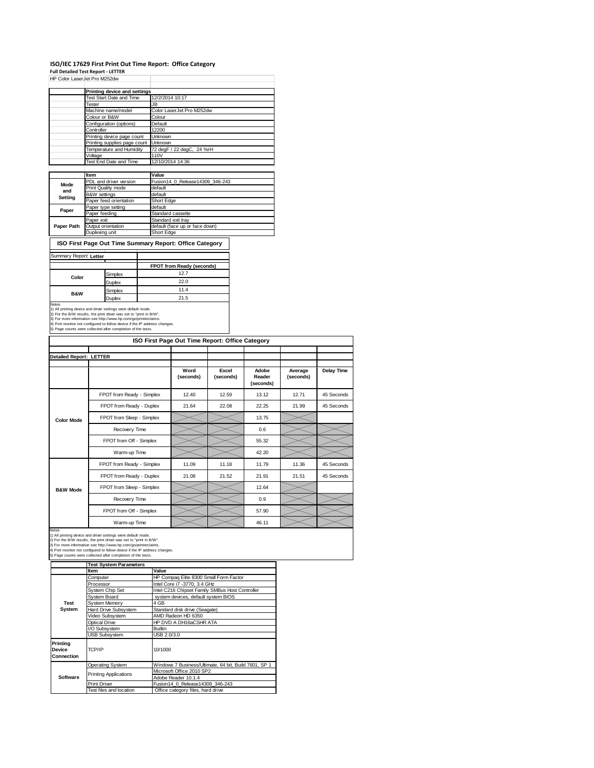### **ISO/IEC 17629 First Print Out Time Report: Office Category**

**Full Detailed Test Report ‐ LETTER** HP Color LaserJet Pro M252dw

|         | Printing device and settings    |                                 |
|---------|---------------------------------|---------------------------------|
|         | <b>Test Start Date and Time</b> | 12/2/2014 10:17                 |
|         | Tester                          | JB.                             |
|         | Machine name/model              | Color LaserJet Pro M252dw       |
|         | Colour or B&W                   | Colour                          |
|         | Configuration (options)         | Default                         |
|         | Controller                      | 12200                           |
|         | Printing device page count      | Unknown                         |
|         | Printing supplies page count    | Unknown                         |
|         | Temperature and Humidity        | 72 degF / 22 degC, 24 %rH       |
|         | Voltage                         | 110V                            |
|         | Test End Date and Time          | 12/10/2014 14:36                |
|         |                                 |                                 |
|         | Item                            | Value                           |
| Mode    | PDL and driver version          | Fusion14 0 Release14309 346-243 |
| and     | Print Quality mode              | default                         |
| Setting | <b>B&amp;W</b> settings         | default                         |
|         | Paper feed orientation          | Short Edge                      |
| Paper   | Paper type setting              | default                         |
|         | Paper feeding                   | Standard cassette               |
|         | Paper exit                      | Standard exit trav              |
|         |                                 |                                 |

Standard exit tray default (face up or face down)<br>Short Edge

**ISO First Page Out Time Summary Report: Office Category**

#### Summary Report: **Letter**

**Paper Path**

Output orientation<br>Duplexing unit

| Summary Report: Letter                                                |                                                                                                                                                                                                                                                                                       |  |                           |  |  |  |
|-----------------------------------------------------------------------|---------------------------------------------------------------------------------------------------------------------------------------------------------------------------------------------------------------------------------------------------------------------------------------|--|---------------------------|--|--|--|
|                                                                       |                                                                                                                                                                                                                                                                                       |  | FPOT from Ready (seconds) |  |  |  |
| Color                                                                 | Simplex                                                                                                                                                                                                                                                                               |  | 12.7                      |  |  |  |
|                                                                       | Duplex                                                                                                                                                                                                                                                                                |  | 22.0                      |  |  |  |
| <b>B&amp;W</b>                                                        | Simplex                                                                                                                                                                                                                                                                               |  | 11.4                      |  |  |  |
|                                                                       | Duplex                                                                                                                                                                                                                                                                                |  | 21.5                      |  |  |  |
| Notes<br>5) Page counts were collected after completion of the tests. | 1) All printing device and driver settings were default mode.<br>2) For the B/W results, the print driver was set to "print in B/W".<br>3) For more information see http://www.hp.com/go/printerclaims.<br>4) Port monitor not configured to follow device if the IP address changes. |  |                           |  |  |  |

| ISO First Page Out Time Report: Office Category |                           |                   |                    |                              |                      |            |  |
|-------------------------------------------------|---------------------------|-------------------|--------------------|------------------------------|----------------------|------------|--|
| <b>Detailed Report: LETTER</b>                  |                           |                   |                    |                              |                      |            |  |
|                                                 |                           | Word<br>(seconds) | Excel<br>(seconds) | Adobe<br>Reader<br>(seconds) | Average<br>(seconds) | Delay Time |  |
|                                                 | FPOT from Ready - Simplex | 12.40             | 12.59              | 13.12                        | 12.71                | 45 Seconds |  |
|                                                 | FPOT from Ready - Duplex  | 21.64             | 22.08              | 22.25                        | 21.99                | 45 Seconds |  |
| <b>Color Mode</b>                               | FPOT from Sleep - Simplex |                   |                    | 13.75                        |                      |            |  |
|                                                 | Recovery Time             |                   |                    | 0.6                          |                      |            |  |
|                                                 | FPOT from Off - Simplex   |                   |                    | 55.32                        |                      |            |  |
|                                                 | Warm-up Time              |                   |                    | 42.20                        |                      |            |  |
|                                                 | FPOT from Ready - Simplex | 11.09             | 11.18              | 11.79                        | 11.36                | 45 Seconds |  |
|                                                 | FPOT from Ready - Duplex  | 21.08             | 21.52              | 21.91                        | 21.51                | 45 Seconds |  |
| <b>B&amp;W Mode</b>                             | FPOT from Sleep - Simplex |                   |                    | 12.64                        |                      |            |  |
|                                                 | Recovery Time             |                   |                    | 0.9                          |                      |            |  |
|                                                 | FPOT from Off - Simplex   |                   |                    | 57.90                        |                      |            |  |
|                                                 | Warm-up Time              |                   |                    | 46.11                        |                      |            |  |

Notes<br>1) All printing device and driver settings were default mode.<br>2) For the B/W results, the print driver was set to "print in B/W".<br>3) For more information see http://www.hp.com/go/printerclaims.<br>4) Port monitor not co

|                                  | <b>Test System Parameters</b> |                                                       |  |  |  |  |
|----------------------------------|-------------------------------|-------------------------------------------------------|--|--|--|--|
|                                  | Item                          | Value                                                 |  |  |  |  |
|                                  | Computer                      | HP Compag Elite 8300 Small Form Factor                |  |  |  |  |
|                                  | Processor                     | Intel Core i7 -3770, 3.4 GHz                          |  |  |  |  |
|                                  | System Chip Set               | Intel C216 Chipset Family SMBus Host Controller       |  |  |  |  |
|                                  | System Board                  | system devices, default system BIOS                   |  |  |  |  |
| <b>Test</b>                      | <b>System Memory</b>          | 4 GB                                                  |  |  |  |  |
| System                           | Hard Drive Subsystem          | Standard disk drive (Seagate)                         |  |  |  |  |
|                                  | Video Subsystem               | AMD Radeon HD 6350                                    |  |  |  |  |
|                                  | <b>Optical Drive</b>          | HP DVD A DH16aCSHR ATA                                |  |  |  |  |
|                                  | I/O Subsystem                 | <b>Builtin</b>                                        |  |  |  |  |
|                                  | <b>USB Subsystem</b>          | USB 2.0/3.0                                           |  |  |  |  |
| Printing<br>Device<br>Connection | TCP/IP                        | 10/1000                                               |  |  |  |  |
|                                  | Operating System              | Windows 7 Business/Ultimate, 64 bit, Build 7601, SP 1 |  |  |  |  |
|                                  |                               | Microsoft Office 2010 SP2                             |  |  |  |  |
|                                  | <b>Printing Applications</b>  |                                                       |  |  |  |  |
| Software                         |                               | Adobe Reader 10.1.4                                   |  |  |  |  |
|                                  | <b>Print Driver</b>           | Fusion14 0 Release14309 346-243                       |  |  |  |  |
|                                  | Test files and location       | Office category files, hard drive                     |  |  |  |  |